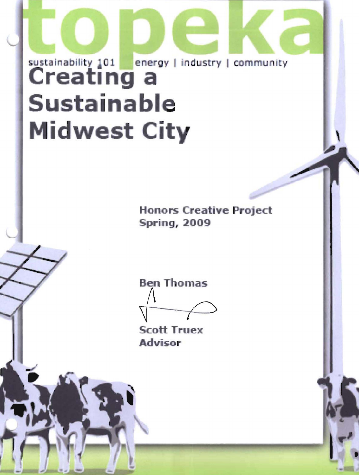# sustainability 101 energy | industry | community **Creating a Sustainable Midwest City**

**Honors Creative Project Spring, 2009** 



**Scott Truex** Advisor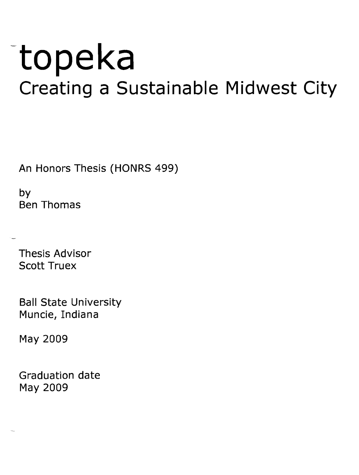# **-topeka Creating a Sustainable Midwest City**

An Honors Thesis (HONRS 499)

by Ben Thomas

Thesis Advisor Scott Truex

Ball State University Muncie, Indiana

May 2009

Graduation date May 2009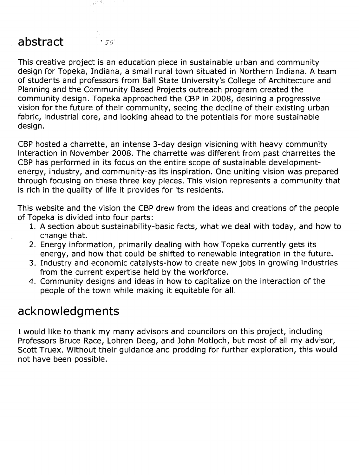

# **abstract**

This creative project is an education piece in sustainable urban and community design for Topeka, Indiana, a small rural town situated in Northern Indiana. A team of students and professors from Ball State University's College of Architecture and Planning and the Community Based Projects outreach program created the community design. Topeka approached the CBP in 2008, desiring a progressive vision for the future of their community, seeing the decline of their existing urban fabric, industrial core, and looking ahead to the potentials for more sustainable design.

CBP hosted a charrette, an intense 3-day design visioning with heavy community interaction in November 2008. The charrette was different from past charrettes the CBP has performed in its focus on the entire scope of sustainable developmentenergy, industry, and community-as its inspiration. One uniting vision was prepared through focusing on these three key pieces. This vision represents a community that is rich in the quality of life it provides for its residents.

This website and the vision the CBP drew from the ideas and creations of the people of Topeka is divided into four parts:

- 1. A section about sustainability-basic facts, what we deal with today, and how to change that.
- 2. Energy information, primarily dealing with how Topeka currently gets its energy, and how that could be shifted to renewable integration in the future.
- 3. Industry and economic catalysts-how to create new jobs in growing industries from the current expertise held by the workforce.
- 4. Community designs and ideas in how to capitalize on the interaction of the people of the town while making it equitable for all.

#### **acknowledg ments**

I would like to thank my many advisors and councilors on this project, including Professors Bruce Race, Lohren Deeg, and John Motloch, but most of all my advisor, Scott Truex. Without their guidance and prodding for further exploration, this would not have been possible.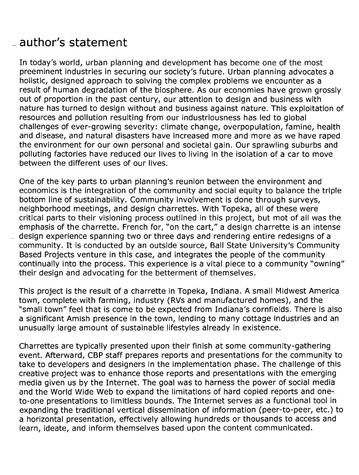# .- **author's statement**

 $\frac{1}{2}$ 

In today's world, urban planning and development has become one of the most preeminent industries in securing our society's future. Urban planning advocates a holistic, designed approach to solving the complex problems we encounter as a result of human degradation of the biosphere. As our economies have grown grossly out of proportion in the past century, our attention to design and business with nature has turned to design without and business against nature. This exploitation of resources and pollution resulting from our industriousness has led to global challenges of ever-growing severity: climate change, overpopulation, famine, health and disease, and natural disasters have increased more and more as we have raped the environment for our own personal and societal gain. Our sprawling suburbs and polluting factories have reduced our lives to living in the isolation of a car to move between the different uses of our lives.

One of the key parts to urban planning's reunion between the environment and economics is the integration of the community and social equity to balance the triple bottom line of sustainability. Community involvement is done through surveys, neighborhood meetings, and design charrettes. With Topeka, all of these were critical parts to their visioning process outlined in this project, but mot of all was the emphasis of the charrette. French for, "on the cart," a design charrette is an intense design experience spanning two or three days and rendering entire redesigns of a community. It is conducted by an outside source, Ball State University's Community Based Projects venture in this case, and integrates the people of the community continually into the process. This experience is a vital piece to a community "owning" their design and advocating for the betterment of themselves.

This project is the result of a charrette in Topeka, Indiana. A small Midwest America town, complete with farming, industry (RVs and manufactured homes), and the "small town" feel that is come to be expected from Indiana's cornfields. There is also a significant Amish presence in the town, lending to many cottage industries and an unusually large amount of sustainable lifestyles already in existence.

Charrettes are typically presented upon their finish at some community-gathering event. Afterward, CBP staff prepares reports and presentations for the community to take to developers and designers in the implementation phase. The challenge of this creative project was to enhance those reports and presentations with the emerging media given us by the Internet. The goal was to harness the power of social media and the World Wide Web to expand the limitations of hard copied reports and oneto-one presentations to limitless bounds. The Internet serves as a functional tool in expanding the traditional vertical dissemination of information (peer-to-peer, etc.) to a horizontal presentation, effectively allowing hundreds or thousands to access and learn, ideate, and inform themselves based upon the content communicated.